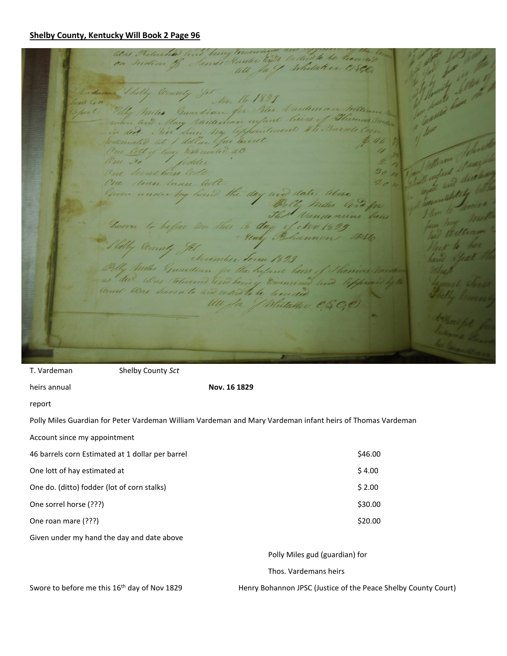## **Shelby County, Kentucky Will Book 2 Page 96**

alas Returned lind being cons Preturned and bury Environment and to be heaven domand Shelly love Poly Miles Guardian for The Vardenan Wille heirs of Then wien and May Nardenhan infund ded. The Since My appointment Vi Barnes Continuated at I dollar fur burrel One lett of hay Estemated at One 200 / fodder One Sound horse looks One down have look notes by hand the day and date alove Po Chy Miles Cita for That Vandenins being Goom to before the this to day of New 1829 Henry Bohamon 18016 Philly County Je November Term 1823 Miles Guardian for the Infant lairs of Thomas Va. ns dec. Was telumed leved being Commind and life Ult Ja J Mutaller CS

| T. Vardeman                                                                                                | Shelby County Sct     |                                                                |         |
|------------------------------------------------------------------------------------------------------------|-----------------------|----------------------------------------------------------------|---------|
| heirs annual                                                                                               |                       | Nov. 16 1829                                                   |         |
| report                                                                                                     |                       |                                                                |         |
| Polly Miles Guardian for Peter Vardeman William Vardeman and Mary Vardeman infant heirs of Thomas Vardeman |                       |                                                                |         |
| Account since my appointment                                                                               |                       |                                                                |         |
| 46 barrels corn Estimated at 1 dollar per barrel                                                           |                       |                                                                | \$46.00 |
| One lott of hay estimated at                                                                               |                       |                                                                | \$4.00  |
| One do. (ditto) fodder (lot of corn stalks)                                                                |                       |                                                                | \$2.00  |
| One sorrel horse (???)                                                                                     |                       |                                                                | \$30.00 |
| One roan mare (???)                                                                                        |                       |                                                                | \$20.00 |
| Given under my hand the day and date above                                                                 |                       |                                                                |         |
|                                                                                                            |                       | Polly Miles gud (guardian) for                                 |         |
|                                                                                                            | Thos. Vardemans heirs |                                                                |         |
| Suggesta befare me this 15th day of New 1920                                                               |                       | Usan: Robannon IBCC (Lustice of the Besse Chalby County Court) |         |

Swore to before me this  $16^{th}$  day of Nov 1829 Henry Bohannon JPSC (Justice of the Peace Shelby County Court)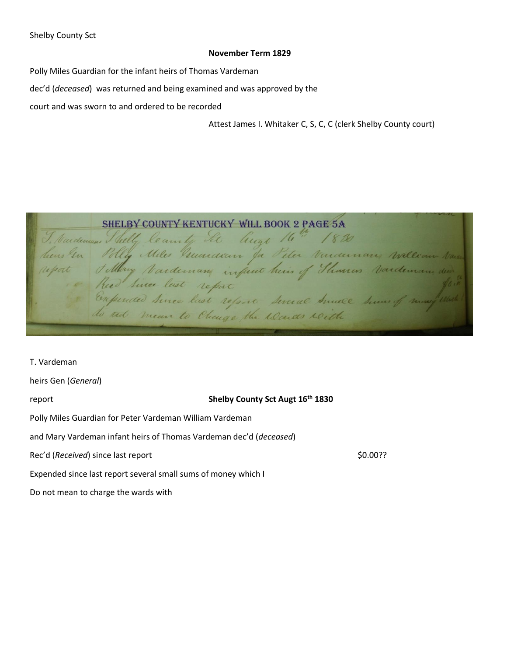## **November Term 1829**

Polly Miles Guardian for the infant heirs of Thomas Vardeman

dec'd (*deceased*) was returned and being examined and was approved by the

court and was sworn to and ordered to be recorded

Attest James I. Whitaker C, S, C, C (clerk Shelby County court)

SHELBY COUNTY KENTUCKY WILL BOOK 2 PAGE 5A I Naideaum Shelly le annty St Auge 16" 1820<br>heus In Philip Miles Buardoun Ja Peter Vancannan, William Nais<br>heus In Philip Mardeman infact heur of Shances Vardeman dus a<br>heur Since lest report<br>Expended Since last report sev

T. Vardeman heirs Gen (*General*) report **Shelby County Sct Augt 16th 1830** Polly Miles Guardian for Peter Vardeman William Vardeman and Mary Vardeman infant heirs of Thomas Vardeman dec'd (*deceased*) Rec'd (*Received*) since last report **\$0.00??** \$0.00?? Expended since last report several small sums of money which I Do not mean to charge the wards with